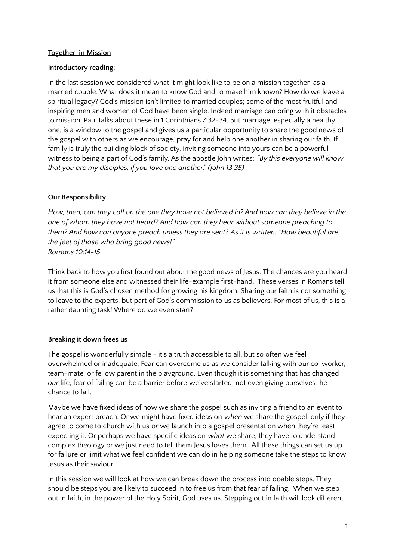### **Together in Mission**

### **Introductory reading**:

In the last session we considered what it might look like to be on a mission together as a married couple. What does it mean to know God and to make him known? How do we leave a spiritual legacy? God's mission isn't limited to married couples; some of the most fruitful and inspiring men and women of God have been single. Indeed marriage can bring with it obstacles to mission. Paul talks about these in 1 Corinthians 7:32-34. But marriage, especially a healthy one, is a window to the gospel and gives us a particular opportunity to share the good news of the gospel with others as we encourage, pray for and help one another in sharing our faith. If family is truly the building block of society, inviting someone into yours can be a powerful witness to being a part of God's family. As the apostle John writes: *"By this everyone will know that you are my disciples, if you love one another." (John 13:35)*

# **Our Responsibility**

How, then, can they call on the one they have not believed in? And how can they believe in the *one of whom they have not heard? And how can they hear without someone preaching to them? And how can anyone preach unless they are sent? As it is written: "How beautiful are the feet of those who bring good news!" Romans 10:14-15*

Think back to how you first found out about the good news of Jesus. The chances are you heard it from someone else and witnessed their life-example first-hand. These verses in Romans tell us that this is God's chosen method for growing his kingdom. Sharing our faith is not something to leave to the experts, but part of God's commission to us as believers. For most of us, this is a rather daunting task! Where do we even start?

# **Breaking it down frees us**

The gospel is wonderfully simple - it's a truth accessible to all, but so often we feel overwhelmed or inadequate. Fear can overcome us as we consider talking with our co-worker, team-mate or fellow parent in the playground. Even though it is something that has changed *our* life, fear of failing can be a barrier before we've started, not even giving ourselves the chance to fail.

Maybe we have fixed ideas of how we share the gospel such as inviting a friend to an event to hear an expert preach. Or we might have fixed ideas on *when* we share the gospel: only if they agree to come to church with us *or* we launch into a gospel presentation when they're least expecting it. Or perhaps we have specific ideas on *what* we share; they have to understand complex theology or we just need to tell them Jesus loves them. All these things can set us up for failure or limit what we feel confident we can do in helping someone take the steps to know Jesus as their saviour.

In this session we will look at how we can break down the process into doable steps. They should be steps you are likely to succeed in to free us from that fear of failing. When we step out in faith, in the power of the Holy Spirit, God uses us. Stepping out in faith will look different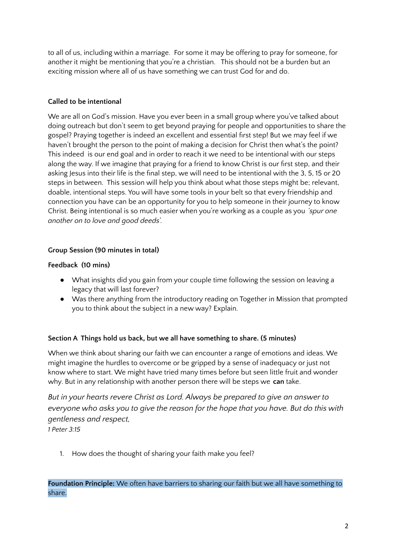to all of us, including within a marriage. For some it may be offering to pray for someone, for another it might be mentioning that you're a christian. This should not be a burden but an exciting mission where all of us have something we can trust God for and do.

# **Called to be intentional**

We are all on God's mission. Have you ever been in a small group where you've talked about doing outreach but don't seem to get beyond praying for people and opportunities to share the gospel? Praying together is indeed an excellent and essential first step! But we may feel if we haven't brought the person to the point of making a decision for Christ then what's the point? This indeed is our end goal and in order to reach it we need to be intentional with our steps along the way. If we imagine that praying for a friend to know Christ is our first step, and their asking Jesus into their life is the final step, we will need to be intentional with the 3, 5, 15 or 20 steps in between. This session will help you think about what those steps might be; relevant, doable, intentional steps. You will have some tools in your belt so that every friendship and connection you have can be an opportunity for you to help someone in their journey to know Christ. Being intentional is so much easier when you're working as a couple as you *'spur one another on to love and good deeds*'.

# **Group Session (90 minutes in total)**

# **Feedback (10 mins)**

- What insights did you gain from your couple time following the session on leaving a legacy that will last forever?
- Was there anything from the introductory reading on Together in Mission that prompted you to think about the subject in a new way? Explain.

# **Section A Things hold us back, but we all have something to share. (5 minutes)**

When we think about sharing our faith we can encounter a range of emotions and ideas. We might imagine the hurdles to overcome or be gripped by a sense of inadequacy or just not know where to start. We might have tried many times before but seen little fruit and wonder why. But in any relationship with another person there will be steps we **can** take.

*But in your hearts revere Christ as Lord. Always be prepared to give an answer to everyone who asks you to give the reason for the hope that you have. But do this with gentleness and respect, 1 Peter 3:15*

1. How does the thought of sharing your faith make you feel?

# **Foundation Principle:** We often have barriers to sharing our faith but we all have something to share.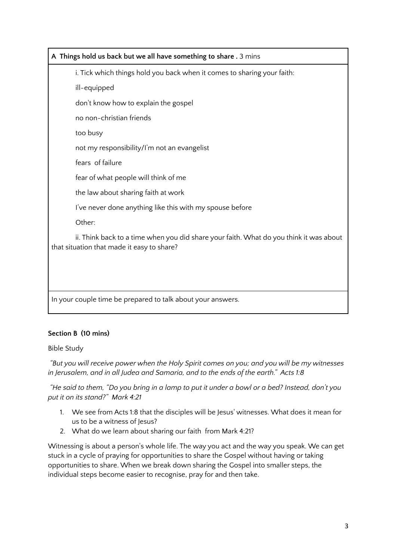# **A Things hold us back but we all have something to share .** 3 mins i. Tick which things hold you back when it comes to sharing your faith: ill-equipped don't know how to explain the gospel no non-christian friends too busy not my responsibility/I'm not an evangelist fears of failure fear of what people will think of me the law about sharing faith at work I've never done anything like this with my spouse before Other: ii. Think back to a time when you did share your faith. What do you think it was about that situation that made it easy to share? In your couple time be prepared to talk about your answers.

# **Section B (10 mins)**

Bible Study

*"But you will receive power when the Holy Spirit comes on you; and you will be my witnesses in Jerusalem, and in all Judea and Samaria, and to the ends of the earth." Acts 1:8*

"He said to them, "Do you bring in a lamp to put it under a bowl or a bed? Instead, don't you *put it on its stand?" Mark 4:21*

- 1. We see from Acts 1:8 that the disciples will be Jesus' witnesses. What does it mean for us to be a witness of Jesus?
- 2. What do we learn about sharing our faith from Mark 4:21?

Witnessing is about a person's whole life. The way you act and the way you speak. We can get stuck in a cycle of praying for opportunities to share the Gospel without having or taking opportunities to share. When we break down sharing the Gospel into smaller steps, the individual steps become easier to recognise, pray for and then take.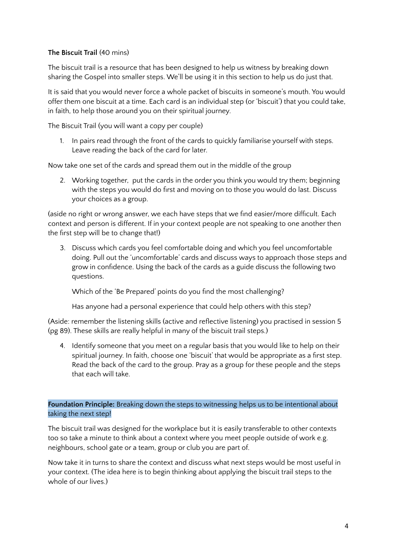### **The Biscuit Trail** (40 mins)

The biscuit trail is a resource that has been designed to help us witness by breaking down sharing the Gospel into smaller steps. We'll be using it in this section to help us do just that.

It is said that you would never force a whole packet of biscuits in someone's mouth. You would offer them one biscuit at a time. Each card is an individual step (or 'biscuit') that you could take, in faith, to help those around you on their spiritual journey.

The Biscuit Trail (you will want a copy per couple)

1. In pairs read through the front of the cards to quickly familiarise yourself with steps. Leave reading the back of the card for later.

Now take one set of the cards and spread them out in the middle of the group

2. Working together, put the cards in the order you think you would try them; beginning with the steps you would do first and moving on to those you would do last. Discuss your choices as a group.

(aside no right or wrong answer, we each have steps that we find easier/more difficult. Each context and person is different. If in your context people are not speaking to one another then the first step will be to change that!)

3. Discuss which cards you feel comfortable doing and which you feel uncomfortable doing. Pull out the 'uncomfortable' cards and discuss ways to approach those steps and grow in confidence. Using the back of the cards as a guide discuss the following two questions.

Which of the 'Be Prepared' points do you find the most challenging?

Has anyone had a personal experience that could help others with this step?

(Aside: remember the listening skills (active and reflective listening) you practised in session 5 (pg 89). These skills are really helpful in many of the biscuit trail steps.)

4. Identify someone that you meet on a regular basis that you would like to help on their spiritual journey. In faith, choose one 'biscuit' that would be appropriate as a first step. Read the back of the card to the group. Pray as a group for these people and the steps that each will take.

**Foundation Principle:** Breaking down the steps to witnessing helps us to be intentional about taking the next step!

The biscuit trail was designed for the workplace but it is easily transferable to other contexts too so take a minute to think about a context where you meet people outside of work e.g. neighbours, school gate or a team, group or club you are part of.

Now take it in turns to share the context and discuss what next steps would be most useful in your context. (The idea here is to begin thinking about applying the biscuit trail steps to the whole of our lives.)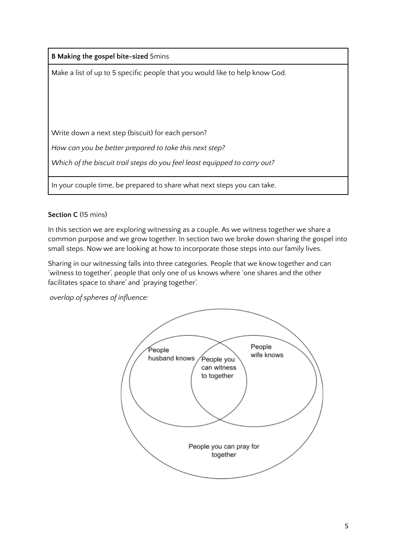| <b>B Making the gospel bite-sized 5mins</b>                                  |
|------------------------------------------------------------------------------|
| Make a list of up to 5 specific people that you would like to help know God. |
|                                                                              |
|                                                                              |
|                                                                              |
| Write down a next step (biscuit) for each person?                            |
| How can you be better prepared to take this next step?                       |
| Which of the biscuit trail steps do you feel least equipped to carry out?    |
|                                                                              |
| In your couple time, be prepared to share what next steps you can take.      |

# **Section C** (15 mins)

In this section we are exploring witnessing as a couple. As we witness together we share a common purpose and we grow together. In section two we broke down sharing the gospel into small steps. Now we are looking at how to incorporate those steps into our family lives.

Sharing in our witnessing falls into three categories. People that we know together and can 'witness to together', people that only one of us knows where 'one shares and the other facilitates space to share' and 'praying together'.

*overlap of spheres of influence:*

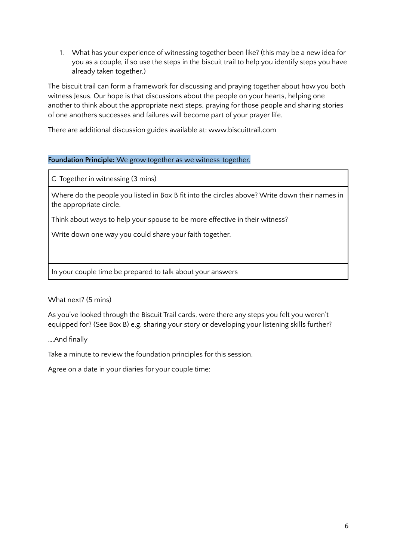1. What has your experience of witnessing together been like? (this may be a new idea for you as a couple, if so use the steps in the biscuit trail to help you identify steps you have already taken together.)

The biscuit trail can form a framework for discussing and praying together about how you both witness Jesus. Our hope is that discussions about the people on your hearts, helping one another to think about the appropriate next steps, praying for those people and sharing stories of one anothers successes and failures will become part of your prayer life.

There are additional discussion guides available at: www.biscuittrail.com

### **Foundation Principle:** We grow together as we witness together.

C Together in witnessing (3 mins)

Where do the people you listed in Box B fit into the circles above? Write down their names in the appropriate circle.

Think about ways to help your spouse to be more effective in their witness?

Write down one way you could share your faith together.

In your couple time be prepared to talk about your answers

What next? (5 mins)

As you've looked through the Biscuit Trail cards, were there any steps you felt you weren't equipped for? (See Box B) e.g. sharing your story or developing your listening skills further?

….And finally

Take a minute to review the foundation principles for this session.

Agree on a date in your diaries for your couple time: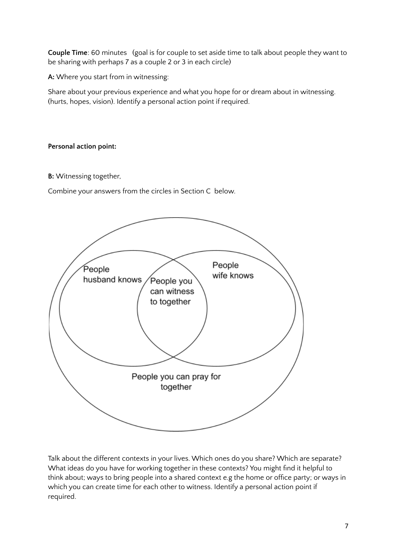**Couple Time**: 60 minutes (goal is for couple to set aside time to talk about people they want to be sharing with perhaps 7 as a couple 2 or 3 in each circle)

**A:** Where you start from in witnessing:

Share about your previous experience and what you hope for or dream about in witnessing. (hurts, hopes, vision). Identify a personal action point if required.

### **Personal action point:**

**B:** Witnessing together,

Combine your answers from the circles in Section C below.



Talk about the different contexts in your lives. Which ones do you share? Which are separate? What ideas do you have for working together in these contexts? You might find it helpful to think about; ways to bring people into a shared context e.g the home or office party; or ways in which you can create time for each other to witness. Identify a personal action point if required.